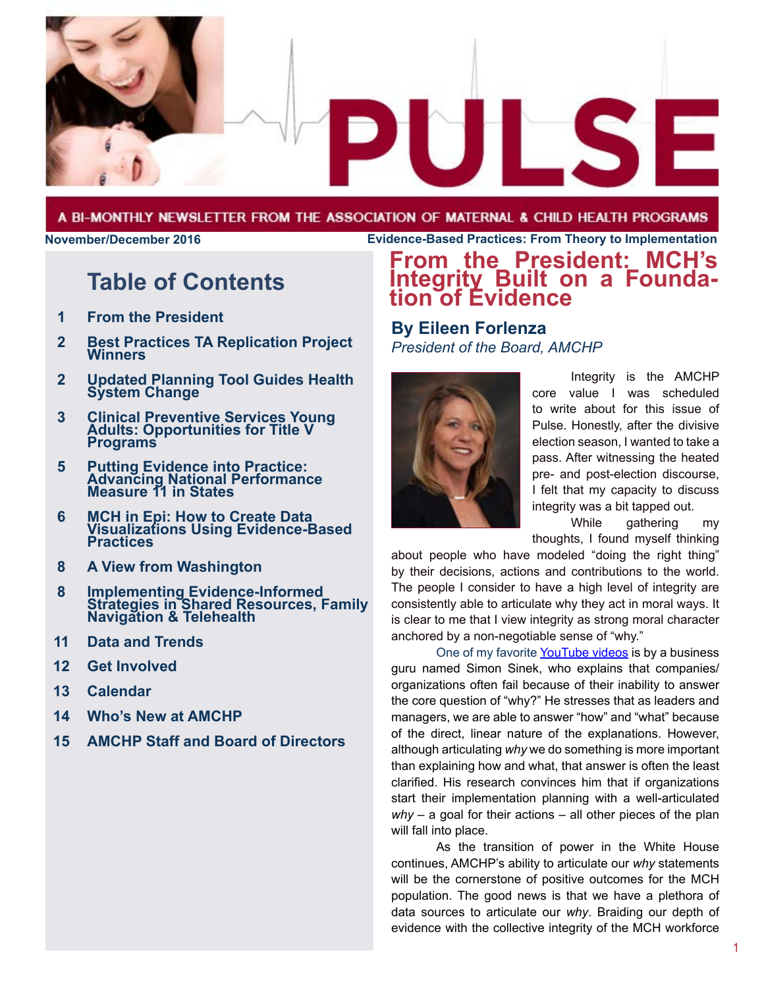

#### A BI-MONTHLY NEWSLETTER FROM THE ASSOCIATION OF MATERNAL & CHILD HEALTH PROGRAMS

**November/December 2016 Evidence-Based Practices: From Theory to Implementation**

# **Table of Contents**

- **From the President 1**
- **Best Practices TA Replication Project Winners 2**
- **Updated Planning Tool Guides Health System Change 2**
- **Clinical Preventive Services Young Adults: Opportunities for Title V Programs 3**
- **Putting Evidence into Practice: Advancing National Performance Measure 11 in States 5**
- **MCH in Epi: How to Create Data Visualizations Using Evidence-Based Practices 6**
- **A View from Washington 8**
- **Implementing Evidence-Informed Strategies in Shared Resources, Family Navigation & Telehealth 8**
- **Data and Trends 11**
- **Get Involved 12**
- **Calendar 13**
- **Who's New at AMCHP 14**
- **AMCHP Staff and Board of Directors 15**

# **From the President: MCH's Integrity Built on a Founda- tion of Evidence**

**By Eileen Forlenza** *President of the Board, AMCHP* 



Integrity is the AMCHP core value I was scheduled to write about for this issue of Pulse. Honestly, after the divisive election season, I wanted to take a pass. After witnessing the heated pre- and post-election discourse, I felt that my capacity to discuss integrity was a bit tapped out.

While gathering my thoughts, I found myself thinking

about people who have modeled "doing the right thing" by their decisions, actions and contributions to the world. The people I consider to have a high level of integrity are consistently able to articulate why they act in moral ways. It is clear to me that I view integrity as strong moral character anchored by a non-negotiable sense of "why."

One of my favorite [YouTube videos](https://www.youtube.com/watch?v=u4ZoJKF_VuA) is by a business guru named Simon Sinek, who explains that companies/ organizations often fail because of their inability to answer the core question of "why?" He stresses that as leaders and managers, we are able to answer "how" and "what" because of the direct, linear nature of the explanations. However, although articulating *why* we do something is more important than explaining how and what, that answer is often the least clarified. His research convinces him that if organizations start their implementation planning with a well-articulated *why* – a goal for their actions – all other pieces of the plan will fall into place.

As the transition of power in the White House continues, AMCHP's ability to articulate our *why* statements will be the cornerstone of positive outcomes for the MCH population. The good news is that we have a plethora of data sources to articulate our *why*. Braiding our depth of evidence with the collective integrity of the MCH workforce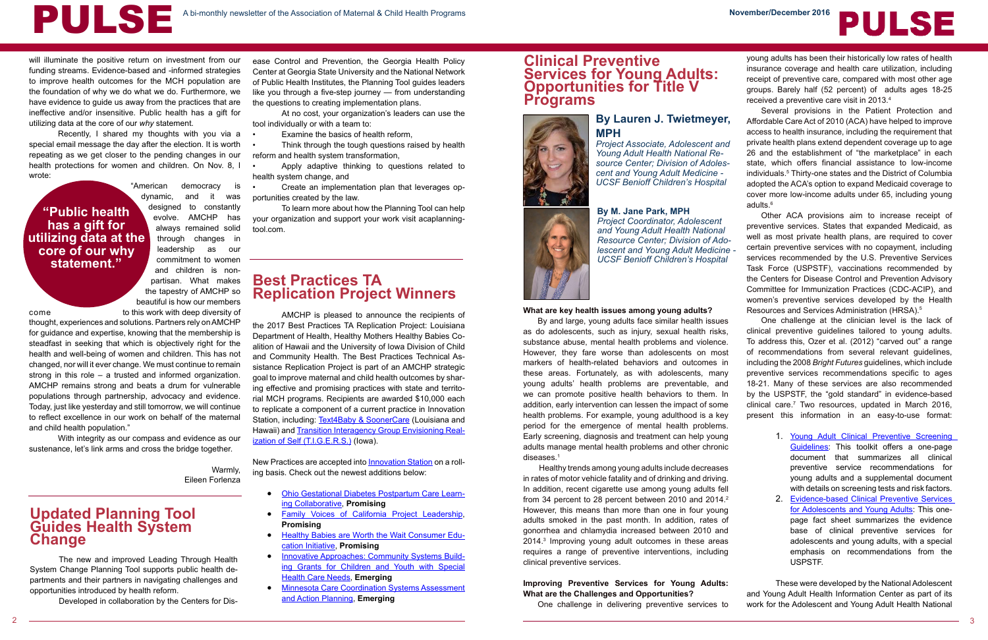# **Best Practices TA Replication Project Winners**

will illuminate the positive return on investment from our funding streams. Evidence-based and -informed strategies to improve health outcomes for the MCH population are the foundation of why we do what we do. Furthermore, we have evidence to guide us away from the practices that are ineffective and/or insensitive. Public health has a gift for utilizing data at the core of our *why* statement.

"American democracy is dynamic, and it was designed to constantly evolve. AMCHP has always remained solid through changes in leadership as our commitment to women and children is nonpartisan. What makes the tapestry of AMCHP so beautiful is how our members come to this work with deep diversity of

Recently, I shared my thoughts with you via a special email message the day after the election. It is worth repeating as we get closer to the pending changes in our health protections for women and children. On Nov. 8, I wrote:

thought, experiences and solutions. Partners rely on AMCHP for guidance and expertise, knowing that the membership is steadfast in seeking that which is objectively right for the health and well-being of women and children. This has not changed, nor will it ever change. We must continue to remain strong in this role – a trusted and informed organization. AMCHP remains strong and beats a drum for vulnerable populations through partnership, advocacy and evidence. Today, just like yesterday and still tomorrow, we will continue to reflect excellence in our work on behalf of the maternal and child health population."

> New Practices are accepted into **Innovation Station** on a rolling basis. Check out the newest additions below:

With integrity as our compass and evidence as our sustenance, let's link arms and cross the bridge together.

> Warmly, Eileen Forlenza

# **"Public health has a gift for utilizing data at the core of our why statement."**



AMCHP is pleased to announce the recipients of the 2017 Best Practices TA Replication Project: Louisiana Department of Health, Healthy Mothers Healthy Babies Coalition of Hawaii and the University of Iowa Division of Child and Community Health. The Best Practices Technical Assistance Replication Project is part of an AMCHP strategic goal to improve maternal and child health outcomes by sharing effective and promising practices with state and territorial MCH programs. Recipients are awarded \$10,000 each to replicate a component of a current practice in Innovation Station, including: [Text4Baby & SoonerCare](http://www.amchp.org/programsandtopics/BestPractices/InnovationStation/ISDocs/NY_Healthy%20Babies%20are%20Worth%20the%20Wait.pdf) (Louisiana and Hawaii) and [Transition Interagency Group Envisioning Real](http://www.amchp.org/programsandtopics/BestPractices/InnovationStation/ISDocs/TIGERS_2015.pdf)[ization of Self \(T.I.G.E.R.S.\)](http://www.amchp.org/programsandtopics/BestPractices/InnovationStation/ISDocs/TIGERS_2015.pdf) (Iowa).

Several provisions in the Patient Protection and Affordable Care Act of 2010 (ACA) have helped to improve access to health insurance, including the requirement that private health plans extend dependent coverage up to age 26 and the establishment of "the marketplace" in each state, which offers financial assistance to low-income individuals.5 Thirty-one states and the District of Columbia adopted the ACA's option to expand Medicaid coverage to cover more low-income adults under 65, including young adults.<sup>6</sup>

- • [Ohio Gestational Diabetes Postpartum Care Learn](http://www.amchp.org/programsandtopics/BestPractices/InnovationStation/ISDocs/Gestational%20Diabetes%20Postpartum%20Care%20Learning%20Collab-OH.pdf)[ing Collaborative](http://www.amchp.org/programsandtopics/BestPractices/InnovationStation/ISDocs/Gestational%20Diabetes%20Postpartum%20Care%20Learning%20Collab-OH.pdf), **Promising**
- **[Family Voices of California Project Leadership](http://www.amchp.org/programsandtopics/BestPractices/InnovationStation/ISDocs/Family%20Voices%20of%20California%20Project%20Leadership.pdf), Promising**
- [Healthy Babies are Worth the Wait Consumer Edu](http://www.amchp.org/programsandtopics/BestPractices/InnovationStation/ISDocs/NY_Healthy%20Babies%20are%20Worth%20the%20Wait.pdf)[cation Initiative](http://www.amchp.org/programsandtopics/BestPractices/InnovationStation/ISDocs/NY_Healthy%20Babies%20are%20Worth%20the%20Wait.pdf), **Promising**
- [Innovative Approaches: Community Systems Build](http://www.amchp.org/programsandtopics/BestPractices/InnovationStation/ISDocs/Community%20Systems%20Building%20for%20CYSHCNs-NC.pdf)[ing Grants for Children and Youth with Special](http://www.amchp.org/programsandtopics/BestPractices/InnovationStation/ISDocs/Community%20Systems%20Building%20for%20CYSHCNs-NC.pdf)  [Health Care Needs](http://www.amchp.org/programsandtopics/BestPractices/InnovationStation/ISDocs/Community%20Systems%20Building%20for%20CYSHCNs-NC.pdf), **Emerging**
- • [Minnesota Care Coordination Systems Assessment](http://www.amchp.org/programsandtopics/BestPractices/InnovationStation/ISDocs/MN_CareCoordination.pdf)  [and Action Planning](http://www.amchp.org/programsandtopics/BestPractices/InnovationStation/ISDocs/MN_CareCoordination.pdf), **Emerging**

## **Updated Planning Tool Guides Health System Change**

The new and improved Leading Through Health System Change Planning Tool supports public health departments and their partners in navigating challenges and opportunities introduced by health reform.

Developed in collaboration by the Centers for Dis-

### **Clinical Preventive Services for Young Adults: Opportunities for Title V Programs**



#### **By Lauren J. Twietmeyer, MPH**

*Project Associate, Adolescent and Young Adult Health National Resource Center; Division of Adolescent and Young Adult Medicine - UCSF Benioff Children's Hospital*



#### *Project Coordinator, Adolescent and Young Adult Health National Resource Center; Division of Adolescent and Young Adult Medicine - UCSF Benioff Children's Hospital*

#### **What are key health issues among young adults?**

Think through the tough questions raised by health reform and health system transformation,

> Healthy trends among young adults include decreases in rates of motor vehicle fatality and of drinking and driving. In addition, recent cigarette use among young adults fell from 34 percent to 28 percent between 2010 and 2014.<sup>2</sup> However, this means than more than one in four young adults smoked in the past month. In addition, rates of gonorrhea and chlamydia increased between 2010 and 2014.3 Improving young adult outcomes in these areas requires a range of preventive interventions, including clinical preventive services.

#### **Improving Preventive Services for Young Adults: What are the Challenges and Opportunities?**

young adults has been their historically low rates of health insurance coverage and health care utilization, including receipt of preventive care, compared with most other age groups. Barely half (52 percent) of adults ages 18-25 received a preventive care visit in 2013.4

By and large, young adults face similar health issues as do adolescents, such as injury, sexual health risks, substance abuse, mental health problems and violence. However, they fare worse than adolescents on most markers of health-related behaviors and outcomes in these areas. Fortunately, as with adolescents, many young adults' health problems are preventable, and we can promote positive health behaviors to them. In addition, early intervention can lessen the impact of some health problems. For example, young adulthood is a key period for the emergence of mental health problems. Early screening, diagnosis and treatment can help young adults manage mental health problems and other chronic diseases.<sup>1</sup> One challenge at the clinician level is the lack of clinical preventive guidelines tailored to young adults. To address this, Ozer et al. (2012) "carved out" a range of recommendations from several relevant guidelines, including the 2008 *Bright Futures* guidelines, which include preventive services recommendations specific to ages 18-21. Many of these services are also recommended by the USPSTF, the "gold standard" in evidence-based clinical care.7 Two resources, updated in March 2016, present this information in an easy-to-use format: 1. [Young Adult Clinical Preventive Screening](http://nahic.ucsf.edu/yaguidelines/)  [Guidelines](http://nahic.ucsf.edu/yaguidelines/): This toolkit offers a one-page document that summarizes all clinical

Other ACA provisions aim to increase receipt of preventive services. States that expanded Medicaid, as well as most private health plans, are required to cover certain preventive services with no copayment, including services recommended by the U.S. Preventive Services Task Force (USPSTF), vaccinations recommended by the Centers for Disease Control and Prevention Advisory Committee for Immunization Practices (CDC-ACIP), and women's preventive services developed by the Health Resources and Services Administration (HRSA).5

One challenge in delivering preventive services to These were developed by the National Adolescent and Young Adult Health Information Center as part of its work for the Adolescent and Young Adult Health National

- preventive service recommendations for young adults and a supplemental document with details on screening tests and risk factors.
- 2. [Evidence-based Clinical Preventive Services](http://nahic.ucsf.edu/cpsfactsheet/)  [for Adolescents and Young Adults:](http://nahic.ucsf.edu/cpsfactsheet/) This onepage fact sheet summarizes the evidence base of clinical preventive services for adolescents and young adults, with a special emphasis on recommendations from the USPSTF.

ease Control and Prevention, the Georgia Health Policy Center at Georgia State University and the National Network of Public Health Institutes, the Planning Tool guides leaders like you through a five-step journey — from understanding the questions to creating implementation plans.

At no cost, your organization's leaders can use the tool individually or with a team to:

Examine the basics of health reform.

• Apply adaptive thinking to questions related to health system change, and

• Create an implementation plan that leverages opportunities created by the law.

To learn more about how the Planning Tool can help your organization and support your work visit acaplanningtool.com.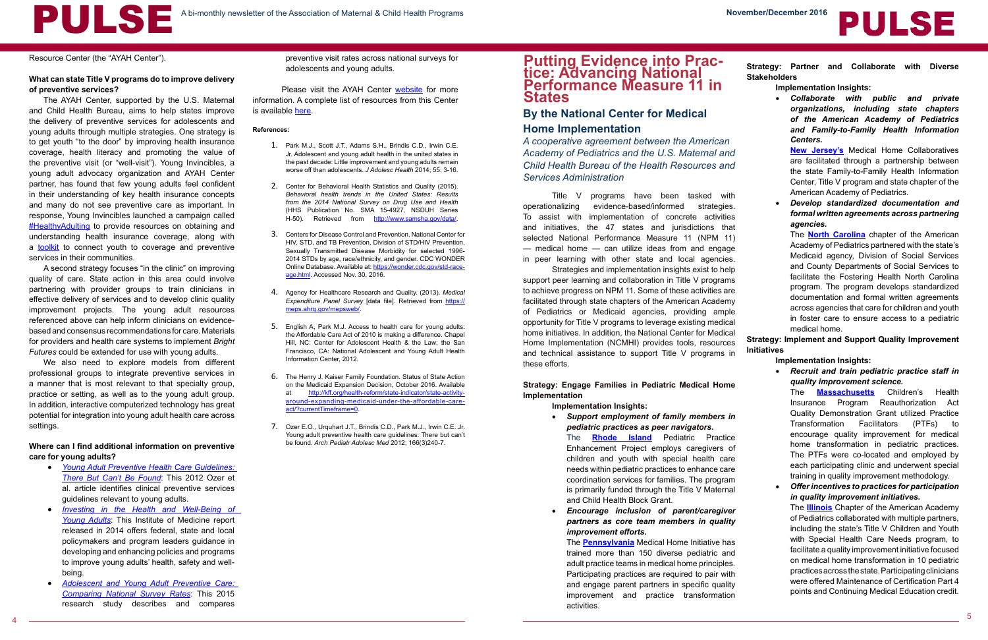

A bi-monthly newsletter of the Association of Maternal & Child Health Programs **November/December 2016**<br> **A bi-monthly newsletter of the Association of Maternal & Child Health Programs** 

Resource Center (the "AYAH Center").

#### **What can state Title V programs do to improve delivery of preventive services?**

The AYAH Center, supported by the U.S. Maternal and Child Health Bureau, aims to help states improve the delivery of preventive services for adolescents and young adults through multiple strategies. One strategy is to get youth "to the door" by improving health insurance coverage, health literacy and promoting the value of the preventive visit (or "well-visit"). Young Invincibles, a young adult advocacy organization and AYAH Center partner, has found that few young adults feel confident in their understanding of key health insurance concepts and many do not see preventive care as important. In response, Young Invincibles launched a campaign called [#HealthyAdulting](http://younginvincibles.org/healthyadulting/) to provide resources on obtaining and understanding health insurance coverage, along with a **[toolkit](http://bit.ly/2cL6Kj6)** to connect youth to coverage and preventive services in their communities.

A second strategy focuses "in the clinic" on improving quality of care. State action in this area could involve partnering with provider groups to train clinicians in effective delivery of services and to develop clinic quality improvement projects. The young adult resources referenced above can help inform clinicians on evidencebased and consensus recommendations for care. Materials for providers and health care systems to implement *Bright Futures* could be extended for use with young adults.

Please visit the AYAH Center [website](http://nahic.ucsf.edu/resources/resource_center/) for more information. A complete list of resources from this Center is available [here](http://nahic.ucsf.edu/ayah-nrc-resources/).

We also need to explore models from different professional groups to integrate preventive services in a manner that is most relevant to that specialty group, practice or setting, as well as to the young adult group. In addition, interactive computerized technology has great potential for integration into young adult health care across settings.

#### **Where can I find additional information on preventive care for young adults?**

- • *[Young Adult Preventive Health Care Guidelines:](http://jamanetwork.com/journals/jamapediatrics/fullarticle/1107713)  [There But Can't Be Found](http://jamanetwork.com/journals/jamapediatrics/fullarticle/1107713)*: This 2012 Ozer et al. article identifies clinical preventive services guidelines relevant to young adults.
- Investing in the Health and Well-Being of *[Young Adults](http://www.nationalacademies.org/hmd/Reports/2014/Investing-in-the-Health-and-Well-Being-of-Young-Adults.aspx)*: This Institute of Medicine report released in 2014 offers federal, state and local policymakers and program leaders guidance in developing and enhancing policies and programs to improve young adults' health, safety and wellbeing.
- Adolescent and Young Adult Preventive Care: *[Comparing National Survey Rates](http://nahic.ucsf.edu/research-new-adolescent-and-young-adult-preventive-care-comparing-national-survey-rates/)*: This 2015 research study describes and compares

preventive visit rates across national surveys for adolescents and young adults.

#### **References:**

Strategies and implementation insights exist to he support peer learning and collaboration in Title V progran to achieve progress on NPM 11. Some of these activities a facilitated through state chapters of the American Acaden of Pediatrics or Medicaid agencies, providing amp opportunity for Title V programs to leverage existing medic home initiatives. In addition, the National Center for Medic Home Implementation (NCMHI) provides tools, resource and technical assistance to support Title V programs these efforts.

**Strategy: Engage Families in Pediatric Medical Home Implementation**

> The **[Rhode Island](https://medicalhomeinfo.aap.org/national-state-initiatives/State-Profiles/Pages/Rhode-Island-State-Profile.aspx)** Pediatric Practic Enhancement Project employs caregivers children and youth with special health ca needs within pediatric practices to enhance care coordination services for families. The program is primarily funded through the Title  $V$  Matern and Child Health Block Grant.

**Encourage inclusion of parent/caregiver** partners as core team members in quali *improvement efforts.*

The **[Pennsylvania](https://medicalhomeinfo.aap.org/national-state-initiatives/State-Profiles/Pages/Pennsylvania.aspx)** Medical Home Initiative has trained more than 150 diverse pediatric ar adult practice teams in medical home principle Participating practices are required to pair with and engage parent partners in specific quali improvement and practice transformation activities.

- 1. Park M.J., Scott J.T., Adams S.H., Brindis C.D., Irwin C.E. Jr. Adolescent and young adult health in the united states in the past decade: Little improvement and young adults remain worse off than adolescents. *J Adolesc Health* 2014; 55: 3-16.
- 2. Center for Behavioral Health Statistics and Quality (2015). *Behavioral health trends in the United States: Results from the 2014 National Survey on Drug Use and Health* (HHS Publication No. SMA 15-4927, NSDUH Series H-50). Retrieved from <http://www.samsha.gov/data/>.
- 3. Centers for Disease Control and Prevention. National Center for HIV, STD, and TB Prevention, Division of STD/HIV Prevention. Sexually Transmitted Disease Morbidity for selected 1996- 2014 STDs by age, race/ethnicity, and gender. CDC WONDER Online Database. Available at: [https://wonder.cdc.gov/std-race](https://wonder.cdc.gov/std-race-age.html)[age.html.](https://wonder.cdc.gov/std-race-age.html) Accessed Nov. 30, 2016.
- 4. Agency for Healthcare Research and Quality. (2013). *Medical*  **Expenditure Panel Survey [data file]. Retrieved from [https://](https://meps.ahrq.gov/mepsweb/)** [meps.ahrq.gov/mepsweb/.](https://meps.ahrq.gov/mepsweb/)
- 5. English A, Park M.J. Access to health care for young adults: the Affordable Care Act of 2010 is making a difference. Chapel Hill, NC: Center for Adolescent Health & the Law; the San Francisco, CA: National Adolescent and Young Adult Health Information Center, 2012.
- 6. The Henry J. Kaiser Family Foundation. Status of State Action on the Medicaid Expansion Decision, October 2016. Available at [http://kff.org/health-reform/state-indicator/state-activity](http://kff.org/health-reform/state-indicator/state-activity-around-expanding-medicaid-under-the-affordable-care-act/?currentTimeframe=0)[around-expanding-medicaid-under-the-affordable-care](http://kff.org/health-reform/state-indicator/state-activity-around-expanding-medicaid-under-the-affordable-care-act/?currentTimeframe=0)[act/?currentTimeframe=0](http://kff.org/health-reform/state-indicator/state-activity-around-expanding-medicaid-under-the-affordable-care-act/?currentTimeframe=0).
- 7. Ozer E.O., Urquhart J.T., Brindis C.D., Park M.J., Irwin C.E. Jr. Young adult preventive health care guidelines: There but can't be found. *Arch Pediatr Adolesc Med* 2012; 166(3)240-7.

### **By the National Center for Medical Home Implementation**

*A cooperative agreement between the American*  Academy of Pediatrics and the U.S. Maternal an *Child Health Bureau of the Health Resources and Child Health Bureau of the Health* **Resources and** *Services Administration*

Title V programs have been tasked with operationalizing evidence-based/informed strategie To assist with implementation of concrete activities and initiatives, the 47 states and jurisdictions th selected National Performance Measure 11 (NPM 1  $-$  medical home  $-$  can utilize ideas from and engage in peer learning with other state and local agencie

# **Putting Evidence into Prac- tice: Advancing National Performance Measure 11 in States**

**Implementation Insights:**

• *Support employment of family members in pediatric practices as peer navigators.*

|                     |                                 | Strategy: Partner and Collaborate with Diverse             |  |  |  |  |  |  |
|---------------------|---------------------------------|------------------------------------------------------------|--|--|--|--|--|--|
| <b>Stakeholders</b> |                                 |                                                            |  |  |  |  |  |  |
|                     | <b>Implementation Insights:</b> |                                                            |  |  |  |  |  |  |
|                     |                                 | <b>Collaborate</b><br>with public<br>and private           |  |  |  |  |  |  |
|                     |                                 | organizations, including state chapters                    |  |  |  |  |  |  |
|                     |                                 | of the American Academy of Pediatrics                      |  |  |  |  |  |  |
|                     |                                 | and Family-to-Family Health Information                    |  |  |  |  |  |  |
|                     |                                 | Centers.                                                   |  |  |  |  |  |  |
| ıd                  |                                 | <b>New Jersey's</b> Medical Home Collaboratives            |  |  |  |  |  |  |
| ıd                  |                                 | are facilitated through a partnership between              |  |  |  |  |  |  |
|                     |                                 | the state Family-to-Family Health Information              |  |  |  |  |  |  |
|                     |                                 | Center, Title V program and state chapter of the           |  |  |  |  |  |  |
| th                  |                                 | American Academy of Pediatrics.                            |  |  |  |  |  |  |
| S.                  |                                 | Develop standardized documentation and                     |  |  |  |  |  |  |
| ЭS                  |                                 | formal written agreements across partnering                |  |  |  |  |  |  |
| at                  |                                 | agencies.                                                  |  |  |  |  |  |  |
| 1)                  |                                 | The <b>North Carolina</b> chapter of the American          |  |  |  |  |  |  |
|                     |                                 | Academy of Pediatrics partnered with the state's           |  |  |  |  |  |  |
| jе                  |                                 | Medicaid agency, Division of Social Services               |  |  |  |  |  |  |
| S.                  |                                 | and County Departments of Social Services to               |  |  |  |  |  |  |
| ۱þ                  |                                 | facilitate the Fostering Health North Carolina             |  |  |  |  |  |  |
| าร                  |                                 | program. The program develops standardized                 |  |  |  |  |  |  |
| re                  |                                 | documentation and formal written agreements                |  |  |  |  |  |  |
| ٦y                  |                                 | across agencies that care for children and youth           |  |  |  |  |  |  |
| ۱е                  |                                 | in foster care to ensure access to a pediatric             |  |  |  |  |  |  |
| al                  |                                 | medical home.                                              |  |  |  |  |  |  |
| al                  |                                 | <b>Strategy: Implement and Support Quality Improvement</b> |  |  |  |  |  |  |
| ЭS                  | <b>Initiatives</b>              |                                                            |  |  |  |  |  |  |
| in                  |                                 | <b>Implementation Insights:</b>                            |  |  |  |  |  |  |
|                     | $\bullet$                       | Recruit and train pediatric practice staff in              |  |  |  |  |  |  |
|                     |                                 | quality improvement science.                               |  |  |  |  |  |  |
| ١e                  |                                 | Children's<br><b>Massachusetts</b><br>Health<br>The        |  |  |  |  |  |  |
|                     |                                 | Program Reauthorization<br>Act<br>Insurance                |  |  |  |  |  |  |
|                     |                                 | Quality Demonstration Grant utilized Practice              |  |  |  |  |  |  |
| in                  |                                 | Transformation Facilitators (PTFs) to                      |  |  |  |  |  |  |
|                     |                                 | encourage quality improvement for medical                  |  |  |  |  |  |  |
| cе                  |                                 | home transformation in pediatric practices.                |  |  |  |  |  |  |
| of                  |                                 | The PTFs were co-located and employed by                   |  |  |  |  |  |  |
| re                  |                                 | each participating clinic and underwent special            |  |  |  |  |  |  |
| re                  |                                 | training in quality improvement methodology.               |  |  |  |  |  |  |
| m                   |                                 | Offer incentives to practices for participation            |  |  |  |  |  |  |
| al                  |                                 | in quality improvement initiatives.                        |  |  |  |  |  |  |
|                     |                                 | The <b>Illinois</b> Chapter of the American Academy        |  |  |  |  |  |  |
| er                  |                                 | of Pediatrics collaborated with multiple partners,         |  |  |  |  |  |  |
| ty                  |                                 | including the state's Title V Children and Youth           |  |  |  |  |  |  |
|                     |                                 | with Special Health Care Needs program, to                 |  |  |  |  |  |  |
| ЭS                  |                                 | facilitate a quality improvement initiative focused        |  |  |  |  |  |  |
| ١d                  |                                 | on medical home transformation in 10 pediatric             |  |  |  |  |  |  |
| S.                  |                                 | practices across the state. Participating clinicians       |  |  |  |  |  |  |
| th                  |                                 | were offered Maintenance of Certification Part 4           |  |  |  |  |  |  |
| ty                  |                                 | points and Continuing Medical Education credit.            |  |  |  |  |  |  |
| 'n.                 |                                 |                                                            |  |  |  |  |  |  |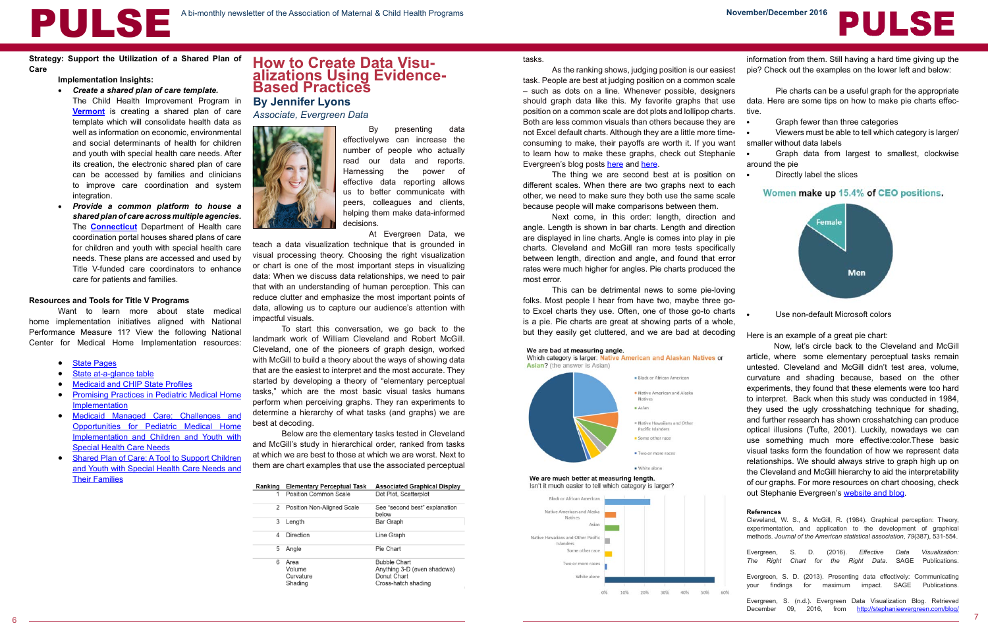# A bi-monthly newsletter of the Association of Maternal & Child Health Programs **November/December 2016**<br> **PULSE A bi-monthly newsletter of the Association of Maternal & Child Health Programs November/December 2016**



By presenting data effectivelywe can increase the number of people who actually read our data and reports. Harnessing the power of effective data reporting allows us to better communicate with peers, colleagues and clients, helping them make data-informed decisions.

At Evergreen Data, we

teach a data visualization technique that is grounded in visual processing theory. Choosing the right visualization or chart is one of the most important steps in visualizing data: When we discuss data relationships, we need to pair that with an understanding of human perception. This can reduce clutter and emphasize the most important points of data, allowing us to capture our audience's attention with impactful visuals.

To start this conversation, we go back to the landmark work of William Cleveland and Robert McGill. Cleveland, one of the pioneers of graph design, worked with McGill to build a theory about the ways of showing data that are the easiest to interpret and the most accurate. They started by developing a theory of "elementary perceptual tasks," which are the most basic visual tasks humans perform when perceiving graphs. They ran experiments to determine a hierarchy of what tasks (and graphs) we are best at decoding.

As the ranking shows, judging position is our easiest task. People are best at judging position on a common scale  $-$  such as dots on a line. Whenever possible, designershould graph data like this. My favorite graphs that u position on a common scale are dot plots and lollipop char Both are less common visuals than others because they a not Excel default charts. Although they are a little more tin consuming to make, their payoffs are worth it. If you want to learn how to make these graphs, check out Stephan Evergreen's blog posts [here](http://stephanieevergreen.com/easy-dot-plots-in-excel/) and [here.](http://stephanieevergreen.com/lollipop/)

The thing we are second best at is position different scales. When there are two graphs next to ea other, we need to make sure they both use the same scale because people will make comparisons between them.

Next come, in this order: length, direction and angle. Length is shown in bar charts. Length and direction are displayed in line charts. Angle is comes into play in charts. Cleveland and McGill ran more tests specifically between length, direction and angle, and found that er rates were much higher for angles. Pie charts produced most error.

This can be detrimental news to some pie-lovi folks. Most people I hear from have two, maybe three to Excel charts they use. Often, one of those go-to cha is a pie. Pie charts are great at showing parts of a who but they easily get cluttered, and we are bad at decoding

#### We are bad at measuring angle.

Which category is larger: Native American and Alaskan Natives or Asian? (the answer is Asian)



White alone

We are much better at measuring length. Isn't it much easier to tell which category is larger?



Below are the elementary tasks tested in Cleveland and McGill's study in hierarchical order, ranked from tasks at which we are best to those at which we are worst. Next to them are chart examples that use the associated perceptual

| Ranking | <b>Elementary Perceptual Task</b>      | <b>Associated Graphical Display</b>                                                      |  |
|---------|----------------------------------------|------------------------------------------------------------------------------------------|--|
| 1       | Position Common Scale                  | Dot Plot, Scatterplot                                                                    |  |
| 2       | Position Non-Aligned Scale             | See "second best" explanation<br>below                                                   |  |
| 3       | Lenath                                 | Bar Graph                                                                                |  |
| Δ       | Direction                              | Line Graph                                                                               |  |
| 5       | Angle                                  | Pie Chart                                                                                |  |
| 6       | Area<br>Volume<br>Curvature<br>Shading | <b>Bubble Chart</b><br>Anything 3-D (even shadows)<br>Donut Chart<br>Cross-hatch shading |  |

# **How to Create Data Visu- alizations Using Evidence-Based Practices**

**By Jennifer Lyons**

*Associate, Evergreen Data*



tasks.

Now, let's circle back to the Cleveland and McGill article, where some elementary perceptual tasks remain untested. Cleveland and McGill didn't test area, volume, curvature and shading because, based on the other experiments, they found that these elements were too hard to interpret. Back when this study was conducted in 1984, they used the ugly crosshatching technique for shading, and further research has shown crosshatching can produce optical illusions (Tufte, 2001). Luckily, nowadays we can use something much more effective:color.These basic visual tasks form the foundation of how we represent data relationships. We should always strive to graph high up on the Cleveland and McGill hierarchy to aid the interpretability of our graphs. For more resources on chart choosing, check out Stephanie Evergreen's [website and blog.](http://stephanieevergreen.com/)

Evergreen, S. (n.d.). Evergreen Data Visualization Blog. Retrieved December 09, 2016, from <http://stephanieevergreen.com/blog/>

- • [State Pages](https://medicalhomeinfo.aap.org/national-state-initiatives/Pages/National-and-State-Initiatives.aspx)
- [State at-a-glance table](https://medicalhomeinfo.aap.org/national-state-initiatives/at-a-glance-table/Pages/default.aspx)
- **[Medicaid and CHIP State Profiles](https://medicalhomeinfo.aap.org/national-state-initiatives/State-Profiles/Pages/default.aspx)**
- **Promising Practices in Pediatric Medical Home [Implementation](https://medicalhomeinfo.aap.org/practices/Pages/default.aspx)**
- • [Medicaid Managed Care: Challenges and](https://medicalhomeinfo.aap.org/national-state-initiatives/Pages/MedicaidManagedCare.aspx)  [Opportunities for Pediatric Medical Home](https://medicalhomeinfo.aap.org/national-state-initiatives/Pages/MedicaidManagedCare.aspx)  [Implementation and Children and Youth with](https://medicalhomeinfo.aap.org/national-state-initiatives/Pages/MedicaidManagedCare.aspx)  [Special Health Care Needs](https://medicalhomeinfo.aap.org/national-state-initiatives/Pages/MedicaidManagedCare.aspx)
- Shared Plan of Care: A Tool to Support Children [and Youth with Special Health Care Needs and](https://medicalhomeinfo.aap.org/tools-resources/Pages/Shared-Plan-of-Care.aspx)  **[Their Families](https://medicalhomeinfo.aap.org/tools-resources/Pages/Shared-Plan-of-Care.aspx)**

| est        | information from them. Still having a hard time giving up the |  |  |  |  |  |  |  |
|------------|---------------------------------------------------------------|--|--|--|--|--|--|--|
| ale        | pie? Check out the examples on the lower left and below:      |  |  |  |  |  |  |  |
| ers        | Pie charts can be a useful graph for the appropriate          |  |  |  |  |  |  |  |
| ıse        | data. Here are some tips on how to make pie charts effec-     |  |  |  |  |  |  |  |
| rts.       | tive.                                                         |  |  |  |  |  |  |  |
| are        | Graph fewer than three categories                             |  |  |  |  |  |  |  |
| ne-        | Viewers must be able to tell which category is larger/        |  |  |  |  |  |  |  |
| ant        | smaller without data labels                                   |  |  |  |  |  |  |  |
| nie        | Graph data from largest to smallest, clockwise                |  |  |  |  |  |  |  |
|            | around the pie                                                |  |  |  |  |  |  |  |
| on         | Directly label the slices                                     |  |  |  |  |  |  |  |
| เch        |                                                               |  |  |  |  |  |  |  |
| ale        | Women make up 15.4% of CEO positions.                         |  |  |  |  |  |  |  |
|            |                                                               |  |  |  |  |  |  |  |
| ınd<br>ion | <b>Female</b>                                                 |  |  |  |  |  |  |  |
| pie        |                                                               |  |  |  |  |  |  |  |
| ally       |                                                               |  |  |  |  |  |  |  |
| ror        |                                                               |  |  |  |  |  |  |  |
| the        | Men                                                           |  |  |  |  |  |  |  |
|            |                                                               |  |  |  |  |  |  |  |
| ing        |                                                               |  |  |  |  |  |  |  |
| -90        |                                                               |  |  |  |  |  |  |  |
| ırts       | Use non-default Microsoft colors                              |  |  |  |  |  |  |  |
| ۱e,        |                                                               |  |  |  |  |  |  |  |
| ing        | Here is an example of a great pie chart:                      |  |  |  |  |  |  |  |
|            |                                                               |  |  |  |  |  |  |  |

#### **References**

Cleveland, W. S., & McGill, R. (1984). Graphical perception: Theory, experimentation, and application to the development of graphical methods. *Journal of the American statistical association*, *79*(387), 531-554.

Evergreen, S. D. (2016). *Effective Data Visualization: The Right Chart for the Right Data*. SAGE Publications.

Evergreen, S. D. (2013). Presenting data effectively: Communicating your findings for maximum impact. SAGE Publications.

#### **Strategy: Support the Utilization of a Shared Plan of Care**

**Implementation Insights:**

- • *Create a shared plan of care template.*
- The Child Health Improvement Program in **[Vermont](https://medicalhomeinfo.aap.org/tools-resources/Pages/Shared-Plan-of-Care.aspx)** is creating a shared plan of care template which will consolidate health data as well as information on economic, environmental and social determinants of health for children and youth with special health care needs. After its creation, the electronic shared plan of care can be accessed by families and clinicians to improve care coordination and system integration.
- **Provide a common platform to house a** *shared plan of care across multiple agencies.* The **[Connecticut](https://medicalhomeinfo.aap.org/tools-resources/Pages/Shared-Plan-of-Care.aspx)** Department of Health care coordination portal houses shared plans of care for children and youth with special health care needs. These plans are accessed and used by Title V-funded care coordinators to enhance care for patients and families.

#### **Resources and Tools for Title V Programs**

Want to learn more about state medical home implementation initiatives aligned with National Performance Measure 11? View the following National Center for Medical Home Implementation resources: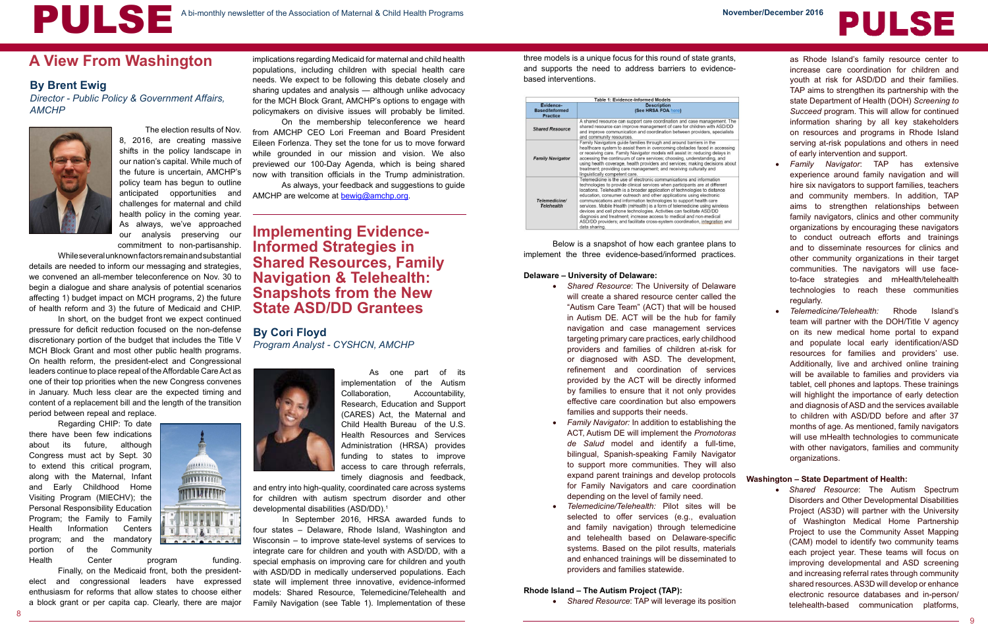The election results of Nov. 8, 2016, are creating massive shifts in the policy landscape in our nation's capital. While much of the future is uncertain, AMCHP's policy team has begun to outline anticipated opportunities and challenges for maternal and child health policy in the coming year. As always, we've approached our analysis preserving our commitment to non-partisanship.

While several unknown factors remain and substantial details are needed to inform our messaging and strategies, we convened an all-member teleconference on Nov. 30 to begin a dialogue and share analysis of potential scenarios affecting 1) budget impact on MCH programs, 2) the future of health reform and 3) the future of Medicaid and CHIP.

Health Center program funding. Finally, on the Medicaid front, both the presidentelect and congressional leaders have expressed enthusiasm for reforms that allow states to choose either a block grant or per capita cap. Clearly, there are major

In short, on the budget front we expect continued pressure for deficit reduction focused on the non-defense discretionary portion of the budget that includes the Title V MCH Block Grant and most other public health programs. On health reform, the president-elect and Congressional leaders continue to place repeal of the Affordable Care Act as one of their top priorities when the new Congress convenes in January. Much less clear are the expected timing and content of a replacement bill and the length of the transition period between repeal and replace.

As always, your feedback and suggestions to guide AMCHP are welcome at **bewig@amchp.org**.

Regarding CHIP: To date there have been few indications about its future, although Congress must act by Sept. 30 to extend this critical program, along with the Maternal, Infant and Early Childhood Home Visiting Program (MIECHV); the Personal Responsibility Education Program; the Family to Family Health Information Centers program; and the mandatory portion of the Community



# **A View From Washington**

### **By Brent Ewig**

*Director - Public Policy & Government Affairs, AMCHP* 





- 
- nt. The<br>D/DD<br>alists ssing about nt SS
- 
- 
- 
- 
- 
- 

implications regarding Medicaid for maternal and child health populations, including children with special health care needs. We expect to be following this debate closely and sharing updates and analysis — although unlike advocacy for the MCH Block Grant, AMCHP's options to engage with policymakers on divisive issues will probably be limited.

On the membership teleconference we heard from AMCHP CEO Lori Freeman and Board President Eileen Forlenza. They set the tone for us to move forward while grounded in our mission and vision. We also previewed our 100-Day Agenda, which is being shared now with transition officials in the Trump administration.

# **Implementing Evidence-Informed Strategies in Shared Resources, Family Navigation & Telehealth: Snapshots from the New State ASD/DD Grantees**

#### **By Cori Floyd**

*Program Analyst - CYSHCN, AMCHP*



As one part of its implementation of the Autism Collaboration, Accountability, Research, Education and Support (CARES) Act, the Maternal and Child Health Bureau of the U.S. Health Resources and Services Administration (HRSA) provides funding to states to improve access to care through referrals, timely diagnosis and feedback,

and entry into high-quality, coordinated care across systems for children with autism spectrum disorder and other developmental disabilities (ASD/DD).1

In September 2016, HRSA awarded funds to four states – Delaware, Rhode Island, Washington and Wisconsin – to improve state-level systems of services to integrate care for children and youth with ASD/DD, with a special emphasis on improving care for children and youth with ASD/DD in medically underserved populations. Each state will implement three innovative, evidence-informed models: Shared Resource, Telemedicine/Telehealth and Family Navigation (see Table 1). Implementation of these

three models is a unique focus for this round of state grants, and supports the need to address barriers to evidencebased interventions.

|                                                       | <b>Table 1: Evidence-Informed Models</b>                                                                                                                                                                                                                                                                                                                                                                                                                                                                                                                                                                                                                                                                       |  |  |
|-------------------------------------------------------|----------------------------------------------------------------------------------------------------------------------------------------------------------------------------------------------------------------------------------------------------------------------------------------------------------------------------------------------------------------------------------------------------------------------------------------------------------------------------------------------------------------------------------------------------------------------------------------------------------------------------------------------------------------------------------------------------------------|--|--|
| Evidence-<br><b>Based/Informed</b><br><b>Practice</b> | <b>Description</b><br>(See HRSA FOA here)                                                                                                                                                                                                                                                                                                                                                                                                                                                                                                                                                                                                                                                                      |  |  |
| <b>Shared Resource</b>                                | A shared resource can support care coordination and case management. Th<br>shared resource can improve management of care for children with ASD/DD<br>and improve communication and coordination between providers, specialists<br>and community resources.                                                                                                                                                                                                                                                                                                                                                                                                                                                    |  |  |
| <b>Family Navigator</b>                               | Family Navigators guide families through and around barriers in the<br>healthcare system to assist them in overcoming obstacles faced in accessing<br>or receiving care. Family Navigator models will assist in: reducing delays in<br>accessing the continuum of care services; choosing, understanding, and<br>using health coverage, health providers and services; making decisions abor<br>treatment; providing care management; and receiving culturally and<br>linguistically competent care.                                                                                                                                                                                                           |  |  |
| Telemedicine/<br><b>Telehealth</b>                    | Telemedicine is the use of electronic communications and information<br>technologies to provide clinical services when participants are at different<br>locations. Telehealth is a broader application of technologies to distance<br>education, consumer outreach and other applications using electronic<br>communications and information technologies to support health care<br>services. Mobile Health (mHealth) is a form of telemedicine using wireless<br>devices and cell phone technologies. Activities can facilitate ASD/DD<br>diagnosis and treatment; increase access to medical and non-medical<br>ASD/DD providers; and facilitate cross-system coordination, integration and<br>data sharing. |  |  |

Below is a snapshot of how each grantee plans to implement the three evidence-based/informed practices.

#### **Delaware – University of Delaware:**

- • *Shared Resource*: The University of Delaware will create a shared resource center called the "Autism Care Team" (ACT) that will be housed in Autism DE. ACT will be the hub for family navigation and case management services targeting primary care practices, early childhood providers and families of children at-risk for or diagnosed with ASD. The development, refinement and coordination of services provided by the ACT will be directly informed by families to ensure that it not only provides effective care coordination but also empowers families and supports their needs.
- **Family Navigator: In addition to establishing the** ACT, Autism DE will implement the *Promotoras de Salud* model and identify a full-time, bilingual, Spanish-speaking Family Navigator to support more communities. They will also expand parent trainings and develop protocols for Family Navigators and care coordination depending on the level of family need.
- Telemedicine/Telehealth: Pilot sites will be selected to offer services (e.g., evaluation and family navigation) through telemedicine and telehealth based on Delaware-specific systems. Based on the pilot results, materials and enhanced trainings will be disseminated to providers and families statewide.

#### **Rhode Island – The Autism Project (TAP):**

• *Shared Resource*: TAP will leverage its position

- as Rhode Island's family resource center to increase care coordination for children and youth at risk for ASD/DD and their families. TAP aims to strengthen its partnership with the state Department of Health (DOH) *Screening to Succeed* program. This will allow for continued information sharing by all key stakeholders on resources and programs in Rhode Island serving at-risk populations and others in need of early intervention and support.
- • *Family Navigator*: TAP has extensive experience around family navigation and will hire six navigators to support families, teachers and community members. In addition, TAP aims to strengthen relationships between family navigators, clinics and other community organizations by encouraging these navigators to conduct outreach efforts and trainings and to disseminate resources for clinics and other community organizations in their target communities. The navigators will use faceto-face strategies and mHealth/telehealth technologies to reach these communities regularly.
- • *Telemedicine/Telehealth:* Rhode Island's team will partner with the DOH/Title V agency on its new medical home portal to expand and populate local early identification/ASD resources for families and providers' use. Additionally, live and archived online training will be available to families and providers via tablet, cell phones and laptops. These trainings will highlight the importance of early detection and diagnosis of ASD and the services available to children with ASD/DD before and after 37 months of age. As mentioned, family navigators will use mHealth technologies to communicate with other navigators, families and community organizations.

#### **Washington – State Department of Health:**

• *Shared Resource*: The Autism Spectrum Disorders and Other Developmental Disabilities Project (AS3D) will partner with the University of Washington Medical Home Partnership Project to use the Community Asset Mapping (CAM) model to identify two community teams each project year. These teams will focus on improving developmental and ASD screening and increasing referral rates through community shared resources. AS3D will develop or enhance electronic resource databases and in-person/ telehealth-based communication platforms,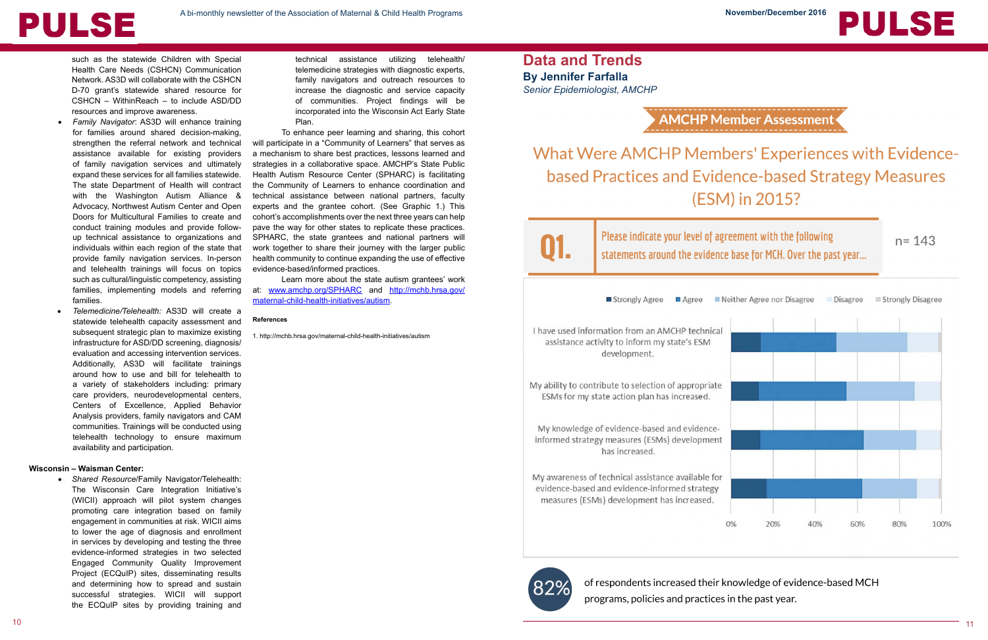such as the statewide Children with Special Health Care Needs (CSHCN) Communication Network. AS3D will collaborate with the CSHCN D-70 grant's statewide shared resource for CSHCN – WithinReach – to include ASD/DD resources and improve awareness.

**PULSE** 

- **Family Navigator: AS3D will enhance training** for families around shared decision-making, strengthen the referral network and technical assistance available for existing providers of family navigation services and ultimately expand these services for all families statewide. The state Department of Health will contract with the Washington Autism Alliance & Advocacy, Northwest Autism Center and Open Doors for Multicultural Families to create and conduct training modules and provide followup technical assistance to organizations and individuals within each region of the state that provide family navigation services. In-person and telehealth trainings will focus on topics such as cultural/linguistic competency, assisting families, implementing models and referring families.
- Telemedicine/Telehealth: AS3D will create a statewide telehealth capacity assessment and subsequent strategic plan to maximize existing infrastructure for ASD/DD screening, diagnosis/ evaluation and accessing intervention services. Additionally, AS3D will facilitate trainings around how to use and bill for telehealth to a variety of stakeholders including: primary care providers, neurodevelopmental centers, Centers of Excellence, Applied Behavior Analysis providers, family navigators and CAM communities. Trainings will be conducted using telehealth technology to ensure maximum availability and participation.

**Shared Resource/Family Navigator/Telehealth:** The Wisconsin Care Integration Initiative's (WICII) approach will pilot system changes promoting care integration based on family engagement in communities at risk. WICII aims to lower the age of diagnosis and enrollment in services by developing and testing the three evidence-informed strategies in two selected Engaged Community Quality Improvement Project (ECQuIP) sites, disseminating results and determining how to spread and sustain successful strategies. WICII will support the ECQuIP sites by providing training and

#### **Wisconsin – Waisman Center:**

technical assistance utilizing telehealth/ telemedicine strategies with diagnostic experts, family navigators and outreach resources to increase the diagnostic and service capacity of communities. Project findings will be incorporated into the Wisconsin Act Early State Plan.

To enhance peer learning and sharing, this cohort will participate in a "Community of Learners" that serves as a mechanism to share best practices, lessons learned and strategies in a collaborative space. AMCHP's State Public Health Autism Resource Center (SPHARC) is facilitating the Community of Learners to enhance coordination and technical assistance between national partners, faculty experts and the grantee cohort. (See Graphic 1.) This cohort's accomplishments over the next three years can help pave the way for other states to replicate these practices. SPHARC, the state grantees and national partners will work together to share their journey with the larger public health community to continue expanding the use of effective evidence-based/informed practices.

Learn more about the state autism grantees' work at: www.amchp.org/SPHARC and http://mchb.hrsa.gov/ maternal-child-health-initiatives/autism.

#### **References**

1. http://mchb.hrsa.gov/maternal-child-health-initiatives/autism

# **Data and Trends**

**By Jennifer Farfalla** *Senior Epidemiologist, AMCHP*



# **What Were AMCHP Members' Experiences with Evidence**based Practices and Evidence-based Strategy Measures (ESM) in 2015?



■ Strongly Agree ■ Agree ■ Neither Agree nor Disagree

I have used information from an AMCHP technical assistance activity to inform my state's ESM development.

My ability to contribute to selection of appropriate ESMs for my state action plan has increased.

My knowledge of evidence-based and evidenceinformed strategy measures (ESMs) development has increased.

My awareness of technical assistance available for evidence-based and evidence-informed strategy measures (ESMs) development has increased.



of respondents increased their knowledge of evidence-based MCH programs, policies and practices in the past year.



**AMCHP Member Assessment** 

statements around the evidence base for MCH. Over the past year...

 $n = 143$ 

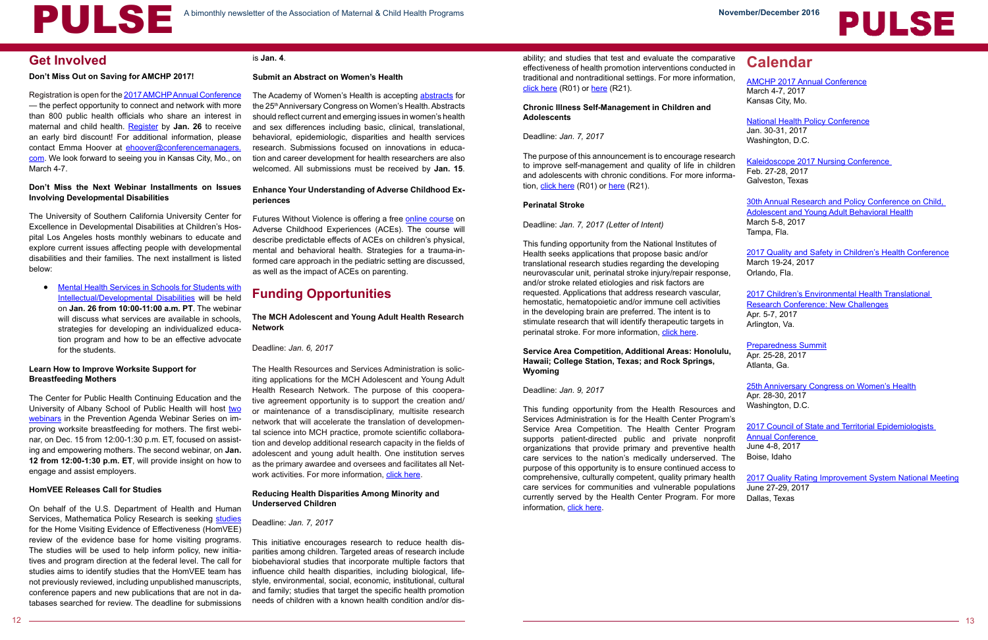| ıе. | <b>Calendar</b> |  |  |
|-----|-----------------|--|--|
| in  |                 |  |  |

Kaleidoscope 2017 Nursing Conference Feb. 27-28, 2017 Galveston, Texas The purpose of this announcement is to encourage research to improve self-management and quality of life in children and adolescents with chronic conditions. For more information, [click here](http://grants.nih.gov/grants/guide/pa-files/PA-14-029.html) (R01) or [here](http://grants.nih.gov/grants/guide/pa-files/PA-14-030.html) (R21).

[AMCHP 2017 Annual Conference](http://www.amchp.org/Calendar/Conferences/amchp-conference/Pages/default.aspx) March 4-7, 2017 Kansas City, Mo.

> National Health Policy Conference Jan. 30-31, 2017 Washington, D.C.

25th Anniversary Congress on Women's Health Apr. 28-30, 2017 Washington, D.C.

30th Annual Research and Policy Conference on Child, Adolescent and Young Adult Behavioral Health March 5-8, 2017 Tampa, Fla.

2017 Quality and Safety in Children's Health Conference March 19-24, 2017

Orlando, Fla.

2017 Children's Environmental Health Translational Research Conference: New Challenges Apr. 5-7, 2017 Arlington, Va.

Preparedness Summit Apr. 25-28, 2017 Atlanta, Ga.

# **Get Involved**

#### **Don't Miss Out on Saving for AMCHP 2017!**

Registration is open for the [2017 AMCHP Annual Conference](https://www.eventscribe.com/2017/AMCHP/aaStatic.asp?SFP=RlhRRlpQWkZAMzAw)  — the perfect opportunity to connect and network with more than 800 public health officials who share an interest in maternal and child health. [Register](https://www.eventscribe.com/2017/AMCHP/aaStatic.asp?SFP=Wk1ITFdXSEhAMzAx) by **Jan. 26** to receive an early bird discount! For additional information, please contact Emma Hoover at [ehoover@conferencemanagers.](mailto:ehoover@conferencemanagers.com) [com.](mailto:ehoover@conferencemanagers.com) We look forward to seeing you in Kansas City, Mo., on March 4-7.

#### **Don't Miss the Next Webinar Installments on Issues Involving Developmental Disabilities**

The University of Southern California University Center for Excellence in Developmental Disabilities at Children's Hospital Los Angeles hosts monthly webinars to educate and explore current issues affecting people with developmental disabilities and their families. The next installment is listed below:

The Academy of Women's Health is accepting [abstracts](http://www.academyofwomenshealth.org/abstract-submission) for the 25<sup>th</sup> Anniversary Congress on Women's Health. Abstracts should reflect current and emerging issues in women's health and sex differences including basic, clinical, translational, behavioral, epidemiologic, disparities and health services research. Submissions focused on innovations in education and career development for health researchers are also welcomed. All submissions must be received by **Jan. 15**.

• [Mental Health Services in Schools for Students with](http://www.uscucedd.org/upcoming-events)  [Intellectual/Developmental Disabilities](http://www.uscucedd.org/upcoming-events) will be held on **Jan. 26 from 10:00-11:00 a.m. PT**. The webinar will discuss what services are available in schools, strategies for developing an individualized education program and how to be an effective advocate for the students.

> The Health Resources and Services Administration is soliciting applications for the MCH Adolescent and Young Adult Health Research Network. The purpose of this cooperative agreement opportunity is to support the creation and/ or maintenance of a transdisciplinary, multisite research network that will accelerate the translation of developmental science into MCH practice, promote scientific collaboration and develop additional research capacity in the fields of adolescent and young adult health. One institution serves as the primary awardee and oversees and facilitates all Network activities. For more information, [click here.](http://www.grants.gov/web/grants/view-opportunity.html?oppId=289855)

#### **Learn How to Improve Worksite Support for Breastfeeding Mothers**

The Center for Public Health Continuing Education and the University of Albany School of Public Health will host two [webinars](http://www.informz.net/ualbany-sph/event.asp?eid=2150B9F4-69CB-492A-B044-A56987C1B0BF&uid=338223930&minst=2110760) in the Prevention Agenda Webinar Series on improving worksite breastfeeding for mothers. The first webinar, on Dec. 15 from 12:00-1:30 p.m. ET, focused on assisting and empowering mothers. The second webinar, on **Jan. 12 from 12:00-1:30 p.m. ET**, will provide insight on how to engage and assist employers.

#### **HomVEE Releases Call for Studies**

On behalf of the U.S. Department of Health and Human Services, Mathematica Policy Research is seeking studies for the Home Visiting Evidence of Effectiveness (HomVEE) review of the evidence base for home visiting programs. The studies will be used to help inform policy, new initiatives and program direction at the federal level. The call for studies aims to identify studies that the HomVEE team has not previously reviewed, including unpublished manuscripts, conference papers and new publications that are not in databases searched for review. The deadline for submissions This funding opportunity from the National Institutes of Health seeks applications that propose basic and/or translational research studies regarding the developing neurovascular unit, perinatal stroke injury/repair response, and/or stroke related etiologies and risk factors are requested. Applications that address research vascular, hemostatic, hematopoietic and/or immune cell activities in the developing brain are preferred. The intent is to stimulate research that will identify therapeutic targets in perinatal stroke. For more information, [click here.](http://grants.nih.gov/grants/guide/rfa-files/RFA-HL-18-002.html)

#### is **Jan. 4**.

#### **Submit an Abstract on Women's Health**

#### **Enhance Your Understanding of Adverse Childhood Experiences**

Futures Without Violence is offering a free [online course](http://endabuse.networkofcare4elearning.org/OnlineCourseDetail.aspx?pId=90010) on Adverse Childhood Experiences (ACEs). The course will describe predictable effects of ACEs on children's physical, mental and behavioral health. Strategies for a trauma-informed care approach in the pediatric setting are discussed, as well as the impact of ACEs on parenting.

> 2017 Council of State and Territorial Epidemiologists Annual Conference June 4-8, 2017 Boise, Idaho 2017 Quality Rating Improvement System National Meeting June 27-29, 2017 Dallas, Texas This funding opportunity from the Health Resources and Services Administration is for the Health Center Program's Service Area Competition. The Health Center Program supports patient-directed public and private nonprofit organizations that provide primary and preventive health care services to the nation's medically underserved. The purpose of this opportunity is to ensure continued access to comprehensive, culturally competent, quality primary health care services for communities and vulnerable populations currently served by the Health Center Program. For more information, [click here](http://www.grants.gov/web/grants/view-opportunity.html?oppId=289854).



# **Funding Opportunities**

#### **The MCH Adolescent and Young Adult Health Research Network**

Deadline: *Jan. 6, 2017*

#### **Reducing Health Disparities Among Minority and Underserved Children**

#### Deadline: *Jan. 7, 2017*

This initiative encourages research to reduce health disparities among children. Targeted areas of research include biobehavioral studies that incorporate multiple factors that influence child health disparities, including biological, lifestyle, environmental, social, economic, institutional, cultural and family; studies that target the specific health promotion needs of children with a known health condition and/or dis-

ability; and studies that test and evaluate the comparative effectiveness of health promotion interventions conducted traditional and nontraditional settings. For more information, [click here](http://grants.nih.gov/grants/guide/pa-files/PA-14-033.html) (R01) or [here](http://grants.nih.gov/grants/guide/pa-files/PA-14-034.html) (R21).

#### **Chronic Illness Self-Management in Children and Adolescents**

#### Deadline: *Jan. 7, 2017*

#### **Perinatal Stroke**

#### Deadline: *Jan. 7, 2017 (Letter of Intent)*

#### **Service Area Competition, Additional Areas: Honolulu, Hawaii; College Station, Texas; and Rock Springs, Wyoming**

#### Deadline: *Jan. 9, 2017*